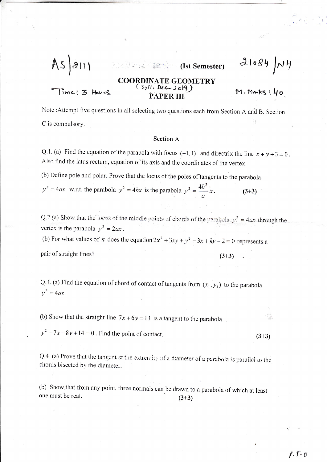$As|au|$ 

 $\lim e: 3$  Hours

## COORDINATE GEOMETRY PAPER III

**Example 2** 2 2 2 2 2 2 2 2 2 2 2 2 3 2 2 2 3 2 2 3 2 2 3 2 3 2 3 2 3 2 3 2 3 2 3 2 3 2 3 2 3 2 3 2 3 2 3 2 3 2 3 2 3 2 3 2 3 2 3 2 3 2 3 2 3 2 3 2 3 2 3 2 3 2 3 2 3 2 3 2 3 2 3 2 3 2 3 2 3 2 3 2 3 2 3 2 3 2 3 2 3 2 3 2 3

 $M.Marks 140$ 

 $\mathcal{L}_{\mathcal{A}}$ 

 $(3+3)$ 

 $21084$   $NH$ 

Note : Attempt five questions in all selecting two questions each from Section A and B. Section C is compulsory.

## **Section A**

Q.1. (a) Find the equation of the parabola with focus (-1, 1) and directrix the line  $x + y + 3 = 0$ . Also find the latus rectum, equation of its axis and the coordinates of the vertex.

(b) Define pole and polar. Prove that the locus of the poles of tangents to the parabola

 $y^2 = 4ax$  w.r.t. the parabola  $y^2 = 4bx$  is the parabola  $y^2 = \frac{4b^2}{a}x$ .  $(3+3)$ 

Q.2 (a) Show that the locus of the middle points of chords of the parabola  $y_t^2 = 4ax$  through the vertex is the parabola  $v^2 = 2ax$ . (b) For what values of k does the equation  $2x^2 + 3xy + y^2 - 3x + ky - 2 = 0$  represents a pair of straight lines?  $(3+3)$ 

Q.3. (a) Find the equation of chord of contact of tangents from  $(x_1, y_1)$  to the parabola  $y^2 = 4ax$ .

(b) Show that the straight line  $7x + 6y = 13$  is a tangent to the parabola

 $y^2 - 7x - 8y + 14 = 0$ . Find the point of contact.

Q.4 (a) Prove that the tangent at the extremity of a diameter of a parabola is parallel to the chords bisected by the diameter.

(b) Show that from any point, three normals can be drawn to a parabola of which at least one must be real.  $(3+3)$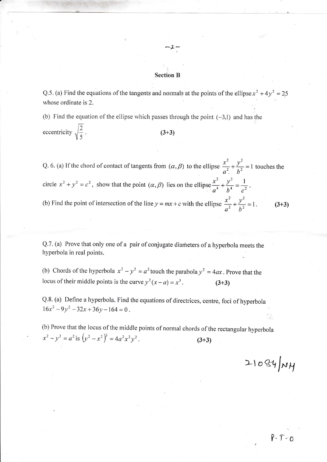## Section B

 $-2-$ 

Q.5. (a) Find the equations of the tangents and normals at the points of the ellipse  $x^2 + 4y^2 = 25$ whose ordinate is 2.

(b) Find the equation of the ellipse which passes through the point  $(-3,1)$  and has the eccentricity  $\sqrt{\frac{2}{5}}$ . (3+3)

Q. 6. (a) If the chord of contact of tangents from  $(\alpha, \beta)$  to the ellipse  $\frac{x^2}{\alpha^2} + \frac{y^2}{h^2} = 1$  touches the circle  $x^2 + y^2 = c^2$ , show that the point  $(\alpha, \beta)$  lies on the ellipse  $\frac{x^2}{a^4} + \frac{y^2}{b^4} = \frac{1}{c^2}$ . (b) Find the point of intersection of the line  $y = mx + c$  with the ellipse  $\frac{x^2}{a^2} + \frac{y^2}{b^2} = 1$ . (3+3)

Q.7. (a) Prove that only one of a pair of conjugate diameters of a hyperbola meets the hyperboia in real points.

(b) Chords of the hyperbola  $x^2 - y^2 = a^2$  touch the parabola  $y^2 = 4ax$ . Prove that the locus of their middle points is the curve  $y^2(x - a) = x^3$ . (3+3)

Q.8. (a) Define a hyperbola. Find the equations of directrices, centre, foci of hyperbola  $16x^2 - 9y^2 - 32x + 36y - 164 = 0$ .

(b) Prove that the locus of the middle points of normal chords of the rectangular hyperbola  $x^2 - y^2 = a^2$  is  $(y^2 - x^2)^3 = 4a^2x^2y^2$ . (3+3)

 $21084 \mu$